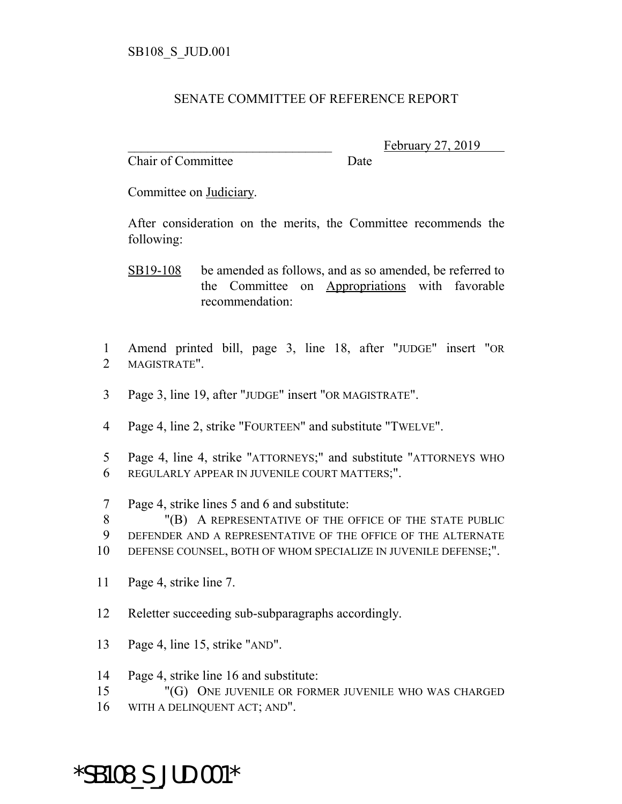#### SENATE COMMITTEE OF REFERENCE REPORT

Chair of Committee Date

February 27, 2019

Committee on Judiciary.

After consideration on the merits, the Committee recommends the following:

- SB19-108 be amended as follows, and as so amended, be referred to the Committee on Appropriations with favorable recommendation:
- 1 Amend printed bill, page 3, line 18, after "JUDGE" insert "OR 2 MAGISTRATE".
- 3 Page 3, line 19, after "JUDGE" insert "OR MAGISTRATE".
- 4 Page 4, line 2, strike "FOURTEEN" and substitute "TWELVE".
- 5 Page 4, line 4, strike "ATTORNEYS;" and substitute "ATTORNEYS WHO 6 REGULARLY APPEAR IN JUVENILE COURT MATTERS;".
- 7 Page 4, strike lines 5 and 6 and substitute:
- 8 "(B) A REPRESENTATIVE OF THE OFFICE OF THE STATE PUBLIC
- 9 DEFENDER AND A REPRESENTATIVE OF THE OFFICE OF THE ALTERNATE
- 10 DEFENSE COUNSEL, BOTH OF WHOM SPECIALIZE IN JUVENILE DEFENSE;".
- 11 Page 4, strike line 7.
- 12 Reletter succeeding sub-subparagraphs accordingly.
- 13 Page 4, line 15, strike "AND".
- 14 Page 4, strike line 16 and substitute:
- 15 "(G) ONE JUVENILE OR FORMER JUVENILE WHO WAS CHARGED
- 16 WITH A DELINQUENT ACT; AND".

\*SB108\_S\_JUD.001\*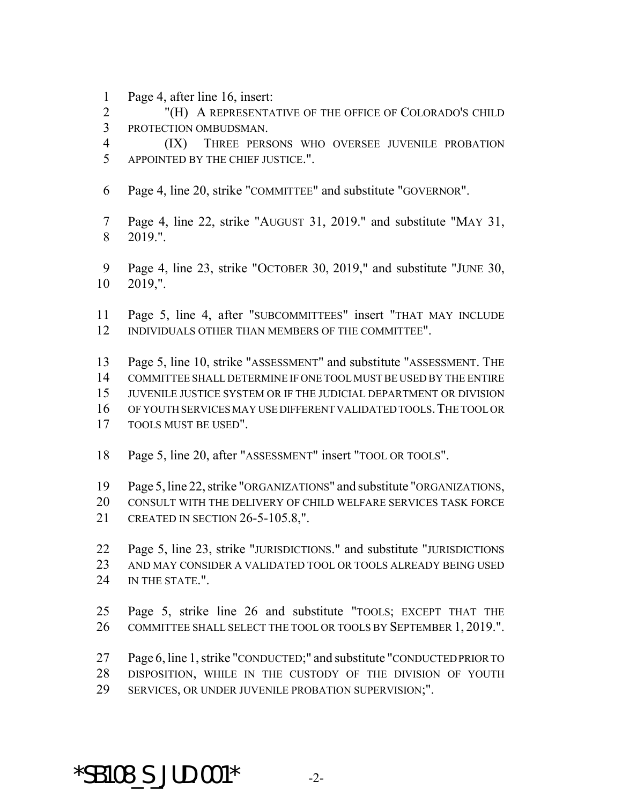Page 4, after line 16, insert:

 "(H) A REPRESENTATIVE OF THE OFFICE OF COLORADO'S CHILD PROTECTION OMBUDSMAN.

 (IX) THREE PERSONS WHO OVERSEE JUVENILE PROBATION APPOINTED BY THE CHIEF JUSTICE.".

- Page 4, line 20, strike "COMMITTEE" and substitute "GOVERNOR".
- Page 4, line 22, strike "AUGUST 31, 2019." and substitute "MAY 31, 2019.".
- Page 4, line 23, strike "OCTOBER 30, 2019," and substitute "JUNE 30, 2019,".
- Page 5, line 4, after "SUBCOMMITTEES" insert "THAT MAY INCLUDE INDIVIDUALS OTHER THAN MEMBERS OF THE COMMITTEE".
- Page 5, line 10, strike "ASSESSMENT" and substitute "ASSESSMENT. THE COMMITTEE SHALL DETERMINE IF ONE TOOL MUST BE USED BY THE ENTIRE JUVENILE JUSTICE SYSTEM OR IF THE JUDICIAL DEPARTMENT OR DIVISION OF YOUTH SERVICES MAY USE DIFFERENT VALIDATED TOOLS.THE TOOL OR TOOLS MUST BE USED".
- Page 5, line 20, after "ASSESSMENT" insert "TOOL OR TOOLS".
- Page 5, line 22, strike "ORGANIZATIONS" and substitute "ORGANIZATIONS,
- CONSULT WITH THE DELIVERY OF CHILD WELFARE SERVICES TASK FORCE
- CREATED IN SECTION 26-5-105.8,".
- Page 5, line 23, strike "JURISDICTIONS." and substitute "JURISDICTIONS AND MAY CONSIDER A VALIDATED TOOL OR TOOLS ALREADY BEING USED 24 IN THE STATE.".
- Page 5, strike line 26 and substitute "TOOLS; EXCEPT THAT THE COMMITTEE SHALL SELECT THE TOOL OR TOOLS BY SEPTEMBER 1, 2019.".
- Page 6, line 1, strike "CONDUCTED;" and substitute "CONDUCTED PRIOR TO DISPOSITION, WHILE IN THE CUSTODY OF THE DIVISION OF YOUTH SERVICES, OR UNDER JUVENILE PROBATION SUPERVISION;".

## \*SB108 S JUD.001\*  $-2$ -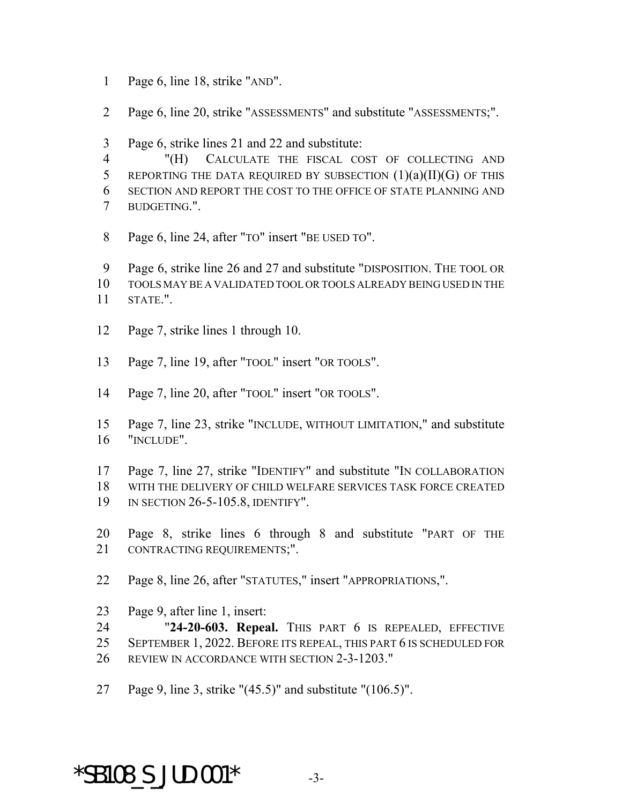- Page 6, line 18, strike "AND".
- Page 6, line 20, strike "ASSESSMENTS" and substitute "ASSESSMENTS;".
- Page 6, strike lines 21 and 22 and substitute:

 "(H) CALCULATE THE FISCAL COST OF COLLECTING AND 5 REPORTING THE DATA REQUIRED BY SUBSECTION  $(1)(a)(II)(G)$  OF THIS SECTION AND REPORT THE COST TO THE OFFICE OF STATE PLANNING AND BUDGETING.".

Page 6, line 24, after "TO" insert "BE USED TO".

 Page 6, strike line 26 and 27 and substitute "DISPOSITION. THE TOOL OR TOOLS MAY BE A VALIDATED TOOL OR TOOLS ALREADY BEING USED IN THE

- STATE.".
- Page 7, strike lines 1 through 10.
- Page 7, line 19, after "TOOL" insert "OR TOOLS".
- Page 7, line 20, after "TOOL" insert "OR TOOLS".
- Page 7, line 23, strike "INCLUDE, WITHOUT LIMITATION," and substitute "INCLUDE".

 Page 7, line 27, strike "IDENTIFY" and substitute "IN COLLABORATION WITH THE DELIVERY OF CHILD WELFARE SERVICES TASK FORCE CREATED IN SECTION 26-5-105.8, IDENTIFY".

 Page 8, strike lines 6 through 8 and substitute "PART OF THE CONTRACTING REQUIREMENTS;".

- Page 8, line 26, after "STATUTES," insert "APPROPRIATIONS,".
- Page 9, after line 1, insert:

 "**24-20-603. Repeal.** THIS PART 6 IS REPEALED, EFFECTIVE SEPTEMBER 1, 2022. BEFORE ITS REPEAL, THIS PART 6 IS SCHEDULED FOR REVIEW IN ACCORDANCE WITH SECTION 2-3-1203."

Page 9, line 3, strike "(45.5)" and substitute "(106.5)".

### $*$ SB108 S JUD.001 $*$  -3-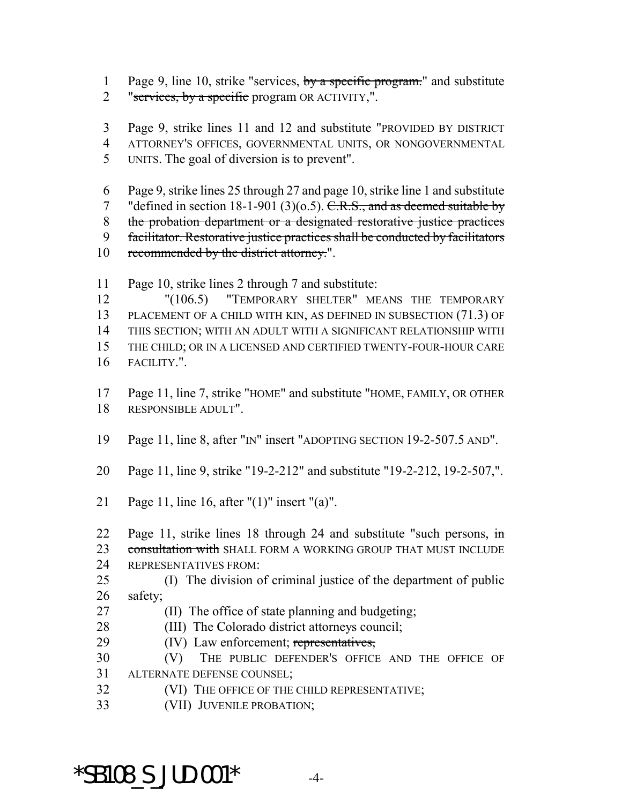1 Page 9, line 10, strike "services, by a specific program." and substitute

2 "services, by a specific program OR ACTIVITY,".

Page 9, strike lines 11 and 12 and substitute "PROVIDED BY DISTRICT

ATTORNEY'S OFFICES, GOVERNMENTAL UNITS, OR NONGOVERNMENTAL

UNITS. The goal of diversion is to prevent".

 Page 9, strike lines 25 through 27 and page 10, strike line 1 and substitute 7 "defined in section 18-1-901 (3)( $o.5$ ). C.R.S., and as deemed suitable by the probation department or a designated restorative justice practices facilitator. Restorative justice practices shall be conducted by facilitators recommended by the district attorney.".

- 
- Page 10, strike lines 2 through 7 and substitute:

 "(106.5) "TEMPORARY SHELTER" MEANS THE TEMPORARY PLACEMENT OF A CHILD WITH KIN, AS DEFINED IN SUBSECTION (71.3) OF THIS SECTION; WITH AN ADULT WITH A SIGNIFICANT RELATIONSHIP WITH THE CHILD; OR IN A LICENSED AND CERTIFIED TWENTY-FOUR-HOUR CARE FACILITY.".

- Page 11, line 7, strike "HOME" and substitute "HOME, FAMILY, OR OTHER RESPONSIBLE ADULT".
- Page 11, line 8, after "IN" insert "ADOPTING SECTION 19-2-507.5 AND".
- Page 11, line 9, strike "19-2-212" and substitute "19-2-212, 19-2-507,".
- Page 11, line 16, after "(1)" insert "(a)".

22 Page 11, strike lines 18 through 24 and substitute "such persons, in 23 consultation with SHALL FORM A WORKING GROUP THAT MUST INCLUDE REPRESENTATIVES FROM:

- (I) The division of criminal justice of the department of public safety;
- (II) The office of state planning and budgeting;
- (III) The Colorado district attorneys council;
- 29 (IV) Law enforcement; representatives,

 (V) THE PUBLIC DEFENDER'S OFFICE AND THE OFFICE OF ALTERNATE DEFENSE COUNSEL;

- (VI) THE OFFICE OF THE CHILD REPRESENTATIVE;
- (VII) JUVENILE PROBATION;

 $*$ SB108 S JUD.001 $*$  -4-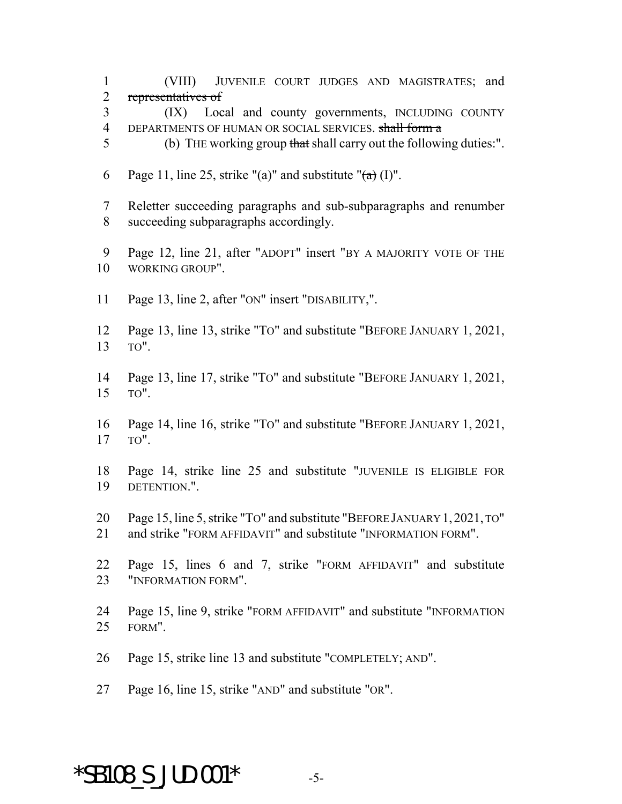- (VIII) JUVENILE COURT JUDGES AND MAGISTRATES; and representatives of
- (IX) Local and county governments, INCLUDING COUNTY 4 DEPARTMENTS OF HUMAN OR SOCIAL SERVICES. shall form a
- 5 (b) THE working group that shall carry out the following duties:".
- 6 Page 11, line 25, strike "(a)" and substitute " $(a)$ ".
- Reletter succeeding paragraphs and sub-subparagraphs and renumber succeeding subparagraphs accordingly.
- Page 12, line 21, after "ADOPT" insert "BY A MAJORITY VOTE OF THE WORKING GROUP".
- Page 13, line 2, after "ON" insert "DISABILITY,".
- Page 13, line 13, strike "TO" and substitute "BEFORE JANUARY 1, 2021, TO".
- Page 13, line 17, strike "TO" and substitute "BEFORE JANUARY 1, 2021, TO".
- Page 14, line 16, strike "TO" and substitute "BEFORE JANUARY 1, 2021, TO".
- Page 14, strike line 25 and substitute "JUVENILE IS ELIGIBLE FOR DETENTION.".
- Page 15, line 5, strike "TO" and substitute "BEFORE JANUARY 1,2021, TO"
- and strike "FORM AFFIDAVIT" and substitute "INFORMATION FORM".
- Page 15, lines 6 and 7, strike "FORM AFFIDAVIT" and substitute "INFORMATION FORM".
- Page 15, line 9, strike "FORM AFFIDAVIT" and substitute "INFORMATION FORM".
- Page 15, strike line 13 and substitute "COMPLETELY; AND".
- Page 16, line 15, strike "AND" and substitute "OR".

### $*$ SB108 S JUD.001 $*$  -5-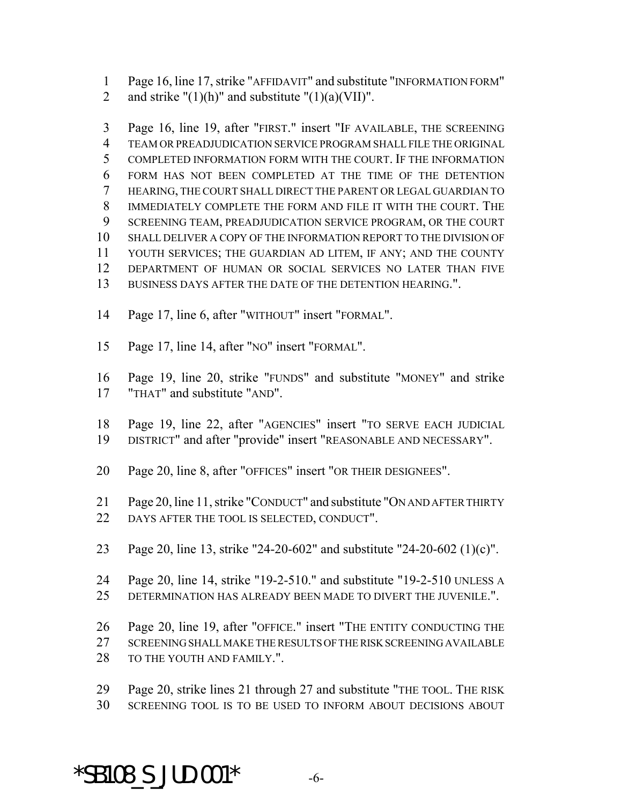- Page 16, line 17, strike "AFFIDAVIT" and substitute "INFORMATION FORM"
- 2 and strike " $(1)(h)$ " and substitute " $(1)(a)(VII)$ ".

 Page 16, line 19, after "FIRST." insert "IF AVAILABLE, THE SCREENING TEAM OR PREADJUDICATION SERVICE PROGRAM SHALL FILE THE ORIGINAL COMPLETED INFORMATION FORM WITH THE COURT. IF THE INFORMATION FORM HAS NOT BEEN COMPLETED AT THE TIME OF THE DETENTION HEARING, THE COURT SHALL DIRECT THE PARENT OR LEGAL GUARDIAN TO IMMEDIATELY COMPLETE THE FORM AND FILE IT WITH THE COURT. THE SCREENING TEAM, PREADJUDICATION SERVICE PROGRAM, OR THE COURT SHALL DELIVER A COPY OF THE INFORMATION REPORT TO THE DIVISION OF YOUTH SERVICES; THE GUARDIAN AD LITEM, IF ANY; AND THE COUNTY DEPARTMENT OF HUMAN OR SOCIAL SERVICES NO LATER THAN FIVE BUSINESS DAYS AFTER THE DATE OF THE DETENTION HEARING.".

- Page 17, line 6, after "WITHOUT" insert "FORMAL".
- Page 17, line 14, after "NO" insert "FORMAL".
- Page 19, line 20, strike "FUNDS" and substitute "MONEY" and strike "THAT" and substitute "AND".
- Page 19, line 22, after "AGENCIES" insert "TO SERVE EACH JUDICIAL
- DISTRICT" and after "provide" insert "REASONABLE AND NECESSARY".
- Page 20, line 8, after "OFFICES" insert "OR THEIR DESIGNEES".
- Page 20, line 11, strike "CONDUCT" and substitute "ON AND AFTER THIRTY DAYS AFTER THE TOOL IS SELECTED, CONDUCT".
- Page 20, line 13, strike "24-20-602" and substitute "24-20-602 (1)(c)".
- Page 20, line 14, strike "19-2-510." and substitute "19-2-510 UNLESS A DETERMINATION HAS ALREADY BEEN MADE TO DIVERT THE JUVENILE.".
- Page 20, line 19, after "OFFICE." insert "THE ENTITY CONDUCTING THE SCREENING SHALL MAKE THE RESULTS OF THE RISK SCREENING AVAILABLE 28 TO THE YOUTH AND FAMILY.".
- Page 20, strike lines 21 through 27 and substitute "THE TOOL. THE RISK SCREENING TOOL IS TO BE USED TO INFORM ABOUT DECISIONS ABOUT
- 

 $*$ SB108 S JUD.001 $*$  -6-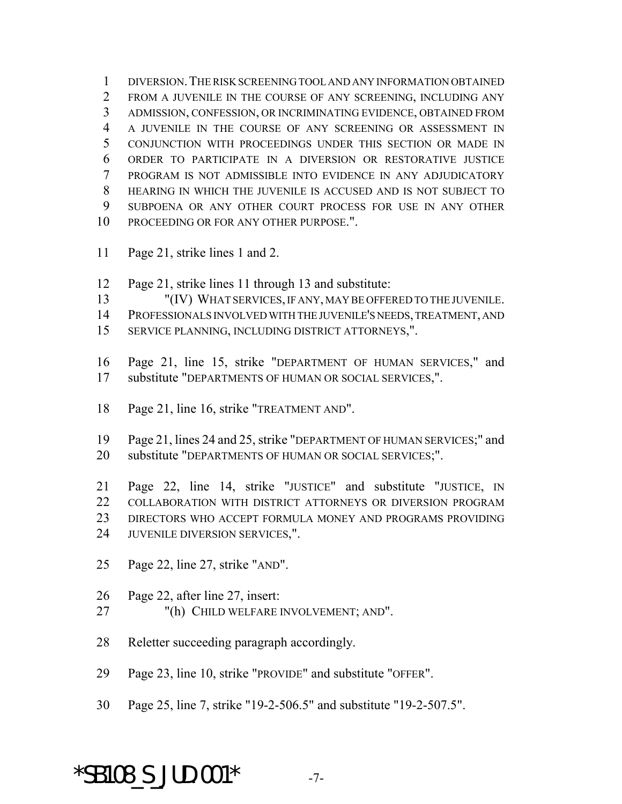DIVERSION.THE RISK SCREENING TOOL AND ANY INFORMATION OBTAINED FROM A JUVENILE IN THE COURSE OF ANY SCREENING, INCLUDING ANY ADMISSION, CONFESSION, OR INCRIMINATING EVIDENCE, OBTAINED FROM A JUVENILE IN THE COURSE OF ANY SCREENING OR ASSESSMENT IN CONJUNCTION WITH PROCEEDINGS UNDER THIS SECTION OR MADE IN ORDER TO PARTICIPATE IN A DIVERSION OR RESTORATIVE JUSTICE PROGRAM IS NOT ADMISSIBLE INTO EVIDENCE IN ANY ADJUDICATORY HEARING IN WHICH THE JUVENILE IS ACCUSED AND IS NOT SUBJECT TO SUBPOENA OR ANY OTHER COURT PROCESS FOR USE IN ANY OTHER PROCEEDING OR FOR ANY OTHER PURPOSE.".

- Page 21, strike lines 1 and 2.
- Page 21, strike lines 11 through 13 and substitute:
- "(IV) WHAT SERVICES, IF ANY, MAY BE OFFERED TO THE JUVENILE. PROFESSIONALS INVOLVED WITH THE JUVENILE'S NEEDS, TREATMENT, AND SERVICE PLANNING, INCLUDING DISTRICT ATTORNEYS,".
- Page 21, line 15, strike "DEPARTMENT OF HUMAN SERVICES," and substitute "DEPARTMENTS OF HUMAN OR SOCIAL SERVICES,".
- Page 21, line 16, strike "TREATMENT AND".
- Page 21, lines 24 and 25, strike "DEPARTMENT OF HUMAN SERVICES;" and 20 substitute "DEPARTMENTS OF HUMAN OR SOCIAL SERVICES;".
- Page 22, line 14, strike "JUSTICE" and substitute "JUSTICE, IN COLLABORATION WITH DISTRICT ATTORNEYS OR DIVERSION PROGRAM DIRECTORS WHO ACCEPT FORMULA MONEY AND PROGRAMS PROVIDING JUVENILE DIVERSION SERVICES,".
- Page 22, line 27, strike "AND".
- Page 22, after line 27, insert:
- "(h) CHILD WELFARE INVOLVEMENT; AND".
- Reletter succeeding paragraph accordingly.
- Page 23, line 10, strike "PROVIDE" and substitute "OFFER".
- Page 25, line 7, strike "19-2-506.5" and substitute "19-2-507.5".

# $*$ SB108 S JUD.001 $*$  -7-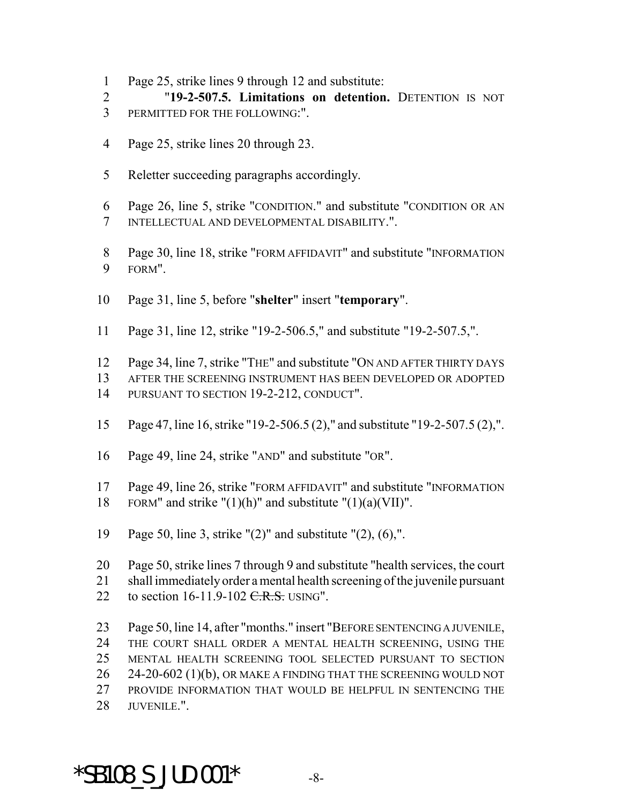- Page 25, strike lines 9 through 12 and substitute:
- "**19-2-507.5. Limitations on detention.** DETENTION IS NOT
- PERMITTED FOR THE FOLLOWING:".
- Page 25, strike lines 20 through 23.
- Reletter succeeding paragraphs accordingly.
- Page 26, line 5, strike "CONDITION." and substitute "CONDITION OR AN INTELLECTUAL AND DEVELOPMENTAL DISABILITY.".
- Page 30, line 18, strike "FORM AFFIDAVIT" and substitute "INFORMATION FORM".
- Page 31, line 5, before "**shelter**" insert "**temporary**".
- Page 31, line 12, strike "19-2-506.5," and substitute "19-2-507.5,".
- Page 34, line 7, strike "THE" and substitute "ON AND AFTER THIRTY DAYS
- AFTER THE SCREENING INSTRUMENT HAS BEEN DEVELOPED OR ADOPTED
- 14 PURSUANT TO SECTION 19-2-212, CONDUCT".
- Page 47, line 16, strike "19-2-506.5 (2)," and substitute "19-2-507.5 (2),".
- Page 49, line 24, strike "AND" and substitute "OR".
- Page 49, line 26, strike "FORM AFFIDAVIT" and substitute "INFORMATION 18 FORM" and strike " $(1)(h)$ " and substitute " $(1)(a)(VII)$ ".
- Page 50, line 3, strike "(2)" and substitute "(2), (6),".

 Page 50, strike lines 7 through 9 and substitute "health services, the court shall immediately order a mental health screening of the juvenile pursuant 22 to section  $16-11.9-102 \text{ C.R.S. }$  USING".

 Page 50, line 14, after "months." insert "BEFORE SENTENCING A JUVENILE, THE COURT SHALL ORDER A MENTAL HEALTH SCREENING, USING THE MENTAL HEALTH SCREENING TOOL SELECTED PURSUANT TO SECTION 24-20-602 (1)(b), OR MAKE A FINDING THAT THE SCREENING WOULD NOT PROVIDE INFORMATION THAT WOULD BE HELPFUL IN SENTENCING THE JUVENILE.".

# \*SB108 S JUD.001\*  $-8-$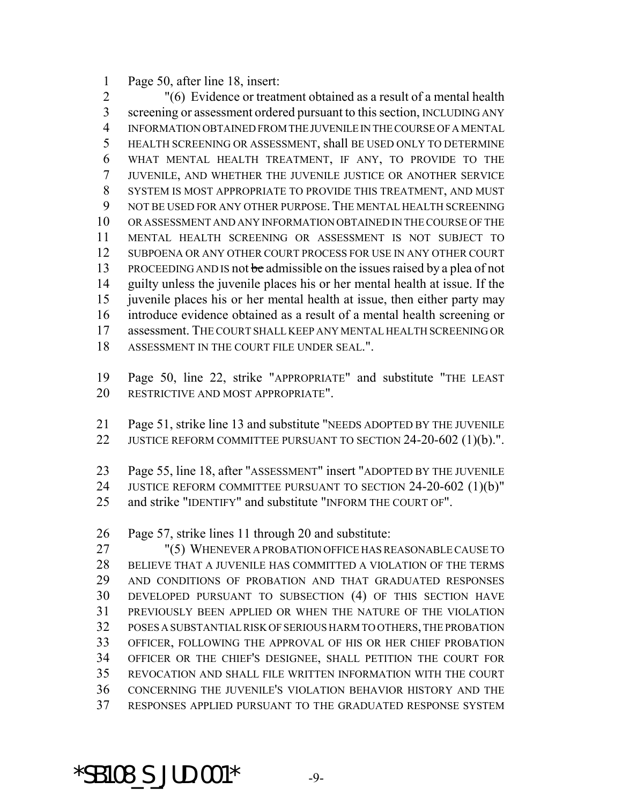Page 50, after line 18, insert:

 "(6) Evidence or treatment obtained as a result of a mental health screening or assessment ordered pursuant to this section, INCLUDING ANY INFORMATION OBTAINED FROM THE JUVENILE IN THE COURSE OF A MENTAL HEALTH SCREENING OR ASSESSMENT, shall BE USED ONLY TO DETERMINE WHAT MENTAL HEALTH TREATMENT, IF ANY, TO PROVIDE TO THE JUVENILE, AND WHETHER THE JUVENILE JUSTICE OR ANOTHER SERVICE SYSTEM IS MOST APPROPRIATE TO PROVIDE THIS TREATMENT, AND MUST NOT BE USED FOR ANY OTHER PURPOSE. THE MENTAL HEALTH SCREENING OR ASSESSMENT AND ANY INFORMATION OBTAINED IN THE COURSE OF THE MENTAL HEALTH SCREENING OR ASSESSMENT IS NOT SUBJECT TO SUBPOENA OR ANY OTHER COURT PROCESS FOR USE IN ANY OTHER COURT 13 PROCEEDING AND IS not be admissible on the issues raised by a plea of not guilty unless the juvenile places his or her mental health at issue. If the juvenile places his or her mental health at issue, then either party may introduce evidence obtained as a result of a mental health screening or assessment. THE COURT SHALL KEEP ANY MENTAL HEALTH SCREENING OR ASSESSMENT IN THE COURT FILE UNDER SEAL.".

 Page 50, line 22, strike "APPROPRIATE" and substitute "THE LEAST RESTRICTIVE AND MOST APPROPRIATE".

 Page 51, strike line 13 and substitute "NEEDS ADOPTED BY THE JUVENILE 22 JUSTICE REFORM COMMITTEE PURSUANT TO SECTION 24-20-602 (1)(b).".

Page 55, line 18, after "ASSESSMENT" insert "ADOPTED BY THE JUVENILE

JUSTICE REFORM COMMITTEE PURSUANT TO SECTION 24-20-602 (1)(b)"

and strike "IDENTIFY" and substitute "INFORM THE COURT OF".

Page 57, strike lines 11 through 20 and substitute:

 "(5) WHENEVER A PROBATION OFFICE HAS REASONABLE CAUSE TO BELIEVE THAT A JUVENILE HAS COMMITTED A VIOLATION OF THE TERMS AND CONDITIONS OF PROBATION AND THAT GRADUATED RESPONSES DEVELOPED PURSUANT TO SUBSECTION (4) OF THIS SECTION HAVE PREVIOUSLY BEEN APPLIED OR WHEN THE NATURE OF THE VIOLATION POSES A SUBSTANTIAL RISK OF SERIOUS HARM TO OTHERS, THE PROBATION OFFICER, FOLLOWING THE APPROVAL OF HIS OR HER CHIEF PROBATION OFFICER OR THE CHIEF'S DESIGNEE, SHALL PETITION THE COURT FOR REVOCATION AND SHALL FILE WRITTEN INFORMATION WITH THE COURT CONCERNING THE JUVENILE'S VIOLATION BEHAVIOR HISTORY AND THE RESPONSES APPLIED PURSUANT TO THE GRADUATED RESPONSE SYSTEM

 $*$ SB108 S JUD.001 $*$  -9-